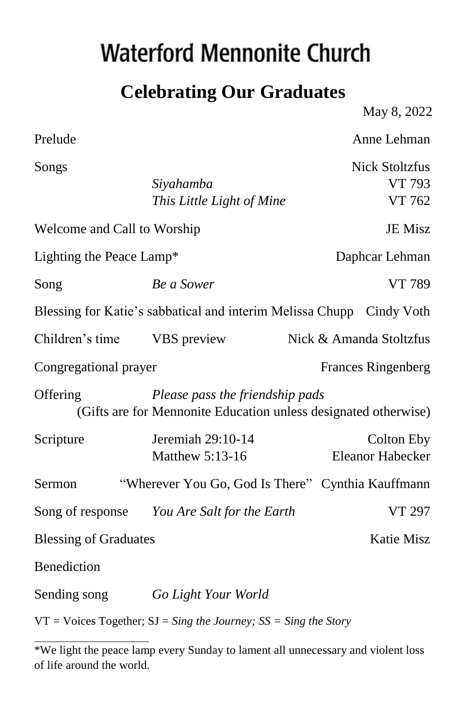# **Waterford Mennonite Church**

### **Celebrating Our Graduates**

May 8, 2022

Prelude Anne Lehman Songs Nick Stoltzfus *Siyahamba* VT 793 *This Little Light of Mine* VT 762 Welcome and Call to Worship JE Misz Lighting the Peace Lamp\* Daphcar Lehman Song *Be a Sower* VT 789 Blessing for Katie's sabbatical and interim Melissa Chupp Cindy Voth Children's time VBS preview Nick & Amanda Stoltzfus Congregational prayer Frances Ringenberg Offering *Please pass the friendship pads* (Gifts are for Mennonite Education unless designated otherwise) Scripture Jeremiah 29:10-14 Colton Eby Matthew 5:13-16 Eleanor Habecker Sermon "Wherever You Go, God Is There" Cynthia Kauffmann Song of response *You Are Salt for the Earth* VT 297 Blessing of Graduates Katie Misz **Benediction** Sending song *Go Light Your World*

VT = Voices Together; SJ = *Sing the Journey; SS = Sing the Story* 

<sup>\*</sup>We light the peace lamp every Sunday to lament all unnecessary and violent loss of life around the world.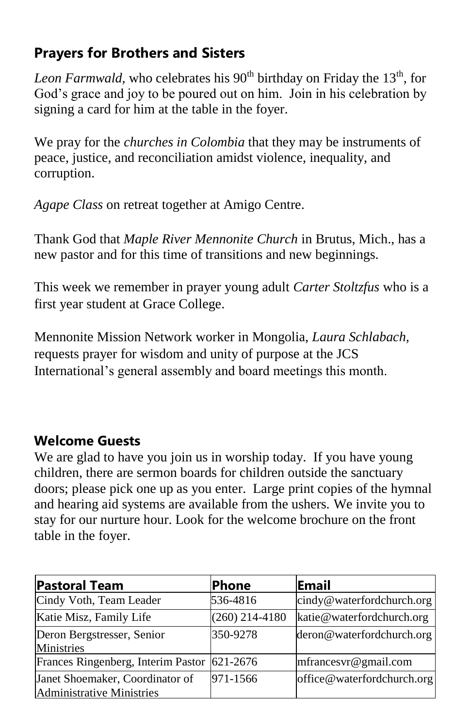#### **Prayers for Brothers and Sisters**

*Leon Farmwald,* who celebrates his 90<sup>th</sup> birthday on Friday the 13<sup>th</sup>, for God's grace and joy to be poured out on him. Join in his celebration by signing a card for him at the table in the foyer.

We pray for the *churches in Colombia* that they may be instruments of peace, justice, and reconciliation amidst violence, inequality, and corruption.

*Agape Class* on retreat together at Amigo Centre.

Thank God that *Maple River Mennonite Church* in Brutus, Mich., has a new pastor and for this time of transitions and new beginnings.

This week we remember in prayer young adult *Carter Stoltzfus* who is a first year student at Grace College.

Mennonite Mission Network worker in Mongolia, *Laura Schlabach,* requests prayer for wisdom and unity of purpose at the JCS International's general assembly and board meetings this month.

#### **Welcome Guests**

We are glad to have you join us in worship today. If you have young children, there are sermon boards for children outside the sanctuary doors; please pick one up as you enter. Large print copies of the hymnal and hearing aid systems are available from the ushers. We invite you to stay for our nurture hour. Look for the welcome brochure on the front table in the foyer.

| <b>Pastoral Team</b>                                         | <b>Phone</b>     | Email                      |
|--------------------------------------------------------------|------------------|----------------------------|
| Cindy Voth, Team Leader                                      | 536-4816         | cindy@waterfordchurch.org  |
| Katie Misz, Family Life                                      | $(260)$ 214-4180 | katie@waterfordchurch.org  |
| Deron Bergstresser, Senior<br>Ministries                     | 350-9278         | deron@waterfordchurch.org  |
| Frances Ringenberg, Interim Pastor                           | 621-2676         | mfrancesvr@gmail.com       |
| Janet Shoemaker, Coordinator of<br>Administrative Ministries | 971-1566         | office@waterfordchurch.org |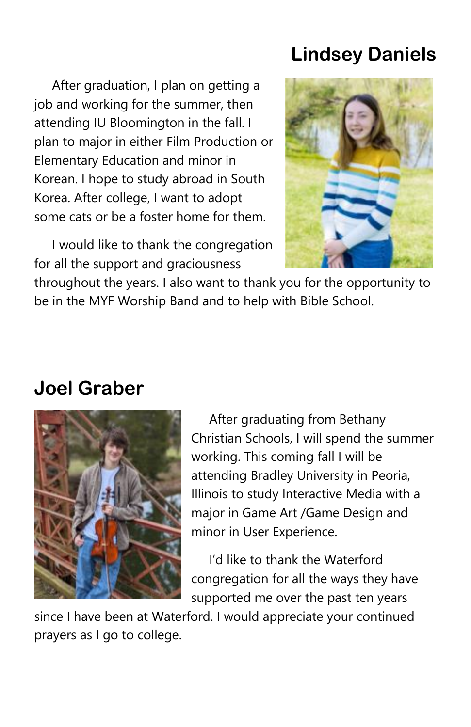### **Lindsey Daniels**

 After graduation, I plan on getting a job and working for the summer, then attending IU Bloomington in the fall. I plan to major in either Film Production or Elementary Education and minor in Korean. I hope to study abroad in South Korea. After college, I want to adopt some cats or be a foster home for them.



 I would like to thank the congregation for all the support and graciousness

throughout the years. I also want to thank you for the opportunity to be in the MYF Worship Band and to help with Bible School.

#### **Joel Graber**



 After graduating from Bethany Christian Schools, I will spend the summer working. This coming fall I will be attending Bradley University in Peoria, Illinois to study Interactive Media with a major in Game Art /Game Design and minor in User Experience.

 I'd like to thank the Waterford congregation for all the ways they have supported me over the past ten years

since I have been at Waterford. I would appreciate your continued prayers as I go to college.